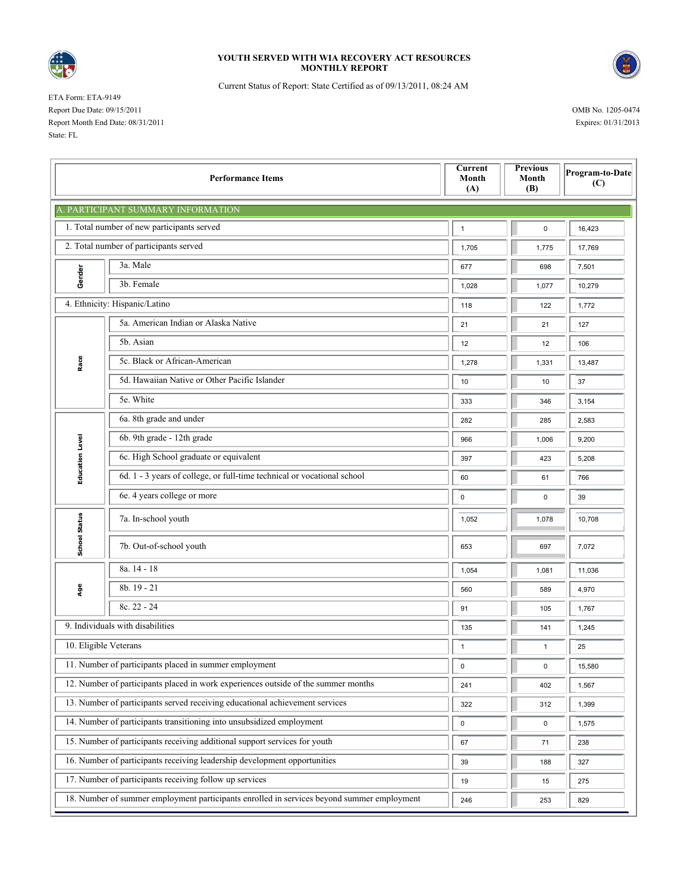

## **YOUTH SERVED WITH WIA RECOVERY ACT RESOURCES MONTHLY REPORT**



Current Status of Report: State Certified as of 09/13/2011, 08:24 AM

ETA Form: ETA-9149 Report Due Date: 09/15/2011 OMB No. 1205-0474 Report Month End Date: 08/31/2011 Expires: 01/31/2013 State: FL

| <b>Performance Items</b>                                                                   |                                                                         |       | <b>Previous</b><br>Month<br>(B) | Program-to-Date<br>(C) |  |  |  |  |  |  |
|--------------------------------------------------------------------------------------------|-------------------------------------------------------------------------|-------|---------------------------------|------------------------|--|--|--|--|--|--|
| A. PARTICIPANT SUMMARY INFORMATION                                                         |                                                                         |       |                                 |                        |  |  |  |  |  |  |
| 1. Total number of new participants served                                                 |                                                                         |       | $\pmb{0}$                       | 16,423                 |  |  |  |  |  |  |
| 2. Total number of participants served                                                     |                                                                         |       | 1,775                           | 17,769                 |  |  |  |  |  |  |
| Gender                                                                                     | 3a. Male                                                                | 677   | 698                             | 7,501                  |  |  |  |  |  |  |
|                                                                                            | 3b. Female                                                              | 1,028 | 1,077                           | 10,279                 |  |  |  |  |  |  |
| 4. Ethnicity: Hispanic/Latino                                                              |                                                                         | 118   | 122                             | 1,772                  |  |  |  |  |  |  |
| Race                                                                                       | 5a. American Indian or Alaska Native                                    | 21    | 21                              | 127                    |  |  |  |  |  |  |
|                                                                                            | 5b. Asian                                                               | 12    | 12                              | 106                    |  |  |  |  |  |  |
|                                                                                            | 5c. Black or African-American                                           | 1,278 | 1,331                           | 13,487                 |  |  |  |  |  |  |
|                                                                                            | 5d. Hawaiian Native or Other Pacific Islander                           | 10    | 10                              | 37                     |  |  |  |  |  |  |
|                                                                                            | 5e. White                                                               | 333   | 346                             | 3,154                  |  |  |  |  |  |  |
| <b>Education Level</b>                                                                     | 6a. 8th grade and under                                                 | 282   | 285                             | 2,583                  |  |  |  |  |  |  |
|                                                                                            | 6b. 9th grade - 12th grade                                              | 966   | 1,006                           | 9,200                  |  |  |  |  |  |  |
|                                                                                            | 6c. High School graduate or equivalent                                  | 397   | 423                             | 5,208                  |  |  |  |  |  |  |
|                                                                                            | 6d. 1 - 3 years of college, or full-time technical or vocational school | 60    | 61                              | 766                    |  |  |  |  |  |  |
|                                                                                            | 6e. 4 years college or more                                             | 0     | 0                               | 39                     |  |  |  |  |  |  |
| <b>School Status</b>                                                                       | 7a. In-school youth                                                     | 1,052 | 1,078                           | 10,708                 |  |  |  |  |  |  |
|                                                                                            | 7b. Out-of-school youth                                                 | 653   | 697                             | 7,072                  |  |  |  |  |  |  |
| Age                                                                                        | 8a. 14 - 18                                                             | 1,054 | 1,081                           | 11,036                 |  |  |  |  |  |  |
|                                                                                            | 8b. 19 - 21                                                             | 560   | 589                             | 4,970                  |  |  |  |  |  |  |
|                                                                                            | 8c. 22 - 24                                                             | 91    | 105                             | 1,767                  |  |  |  |  |  |  |
| 9. Individuals with disabilities                                                           |                                                                         |       | 141                             | 1,245                  |  |  |  |  |  |  |
| 10. Eligible Veterans                                                                      |                                                                         |       | $\mathbf{1}$                    | 25                     |  |  |  |  |  |  |
| 11. Number of participants placed in summer employment                                     |                                                                         | 0     | 0                               | $\sqrt{15,580}$        |  |  |  |  |  |  |
| 12. Number of participants placed in work experiences outside of the summer months         |                                                                         | 241   | 402                             | 1,567                  |  |  |  |  |  |  |
| 13. Number of participants served receiving educational achievement services               |                                                                         |       | 312                             | 1,399                  |  |  |  |  |  |  |
| 14. Number of participants transitioning into unsubsidized employment                      |                                                                         |       | $\mathsf 0$                     | 1,575                  |  |  |  |  |  |  |
| 15. Number of participants receiving additional support services for youth                 |                                                                         |       | 71                              | 238                    |  |  |  |  |  |  |
| 16. Number of participants receiving leadership development opportunities                  |                                                                         |       | 188                             | 327                    |  |  |  |  |  |  |
| 17. Number of participants receiving follow up services                                    |                                                                         |       | 15                              | 275                    |  |  |  |  |  |  |
| 18. Number of summer employment participants enrolled in services beyond summer employment |                                                                         |       | 253                             | 829                    |  |  |  |  |  |  |